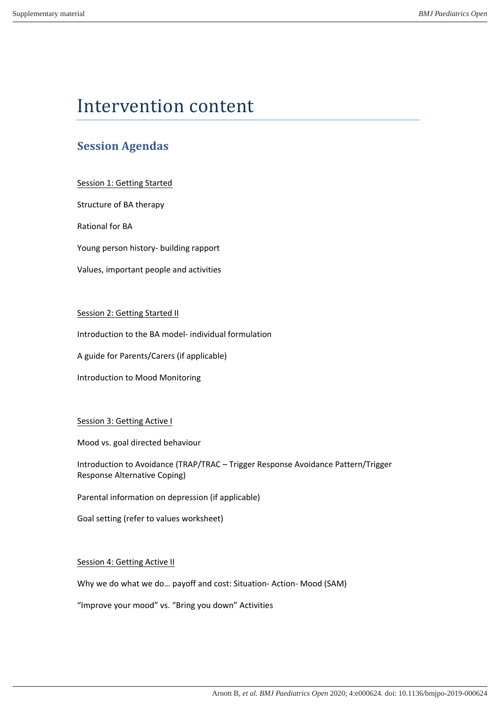# Intervention content

# **Session Agendas**

Session 1: Getting Started

Structure of BA therapy

**Rational for BA** 

Young person history- building rapport

Values, important people and activities

## Session 2: Getting Started II

Introduction to the BA model- individual formulation

A guide for Parents/Carers (if applicable)

Introduction to Mood Monitoring

### Session 3: Getting Active I

Mood vs. goal directed behaviour

Introduction to Avoidance (TRAP/TRAC - Trigger Response Avoidance Pattern/Trigger Response Alternative Coping) 

Parental information on depression (if applicable)

Goal setting (refer to values worksheet)

### Session 4: Getting Active II

Why we do what we do... payoff and cost: Situation- Action- Mood (SAM)

"Improve your mood" vs. "Bring you down" Activities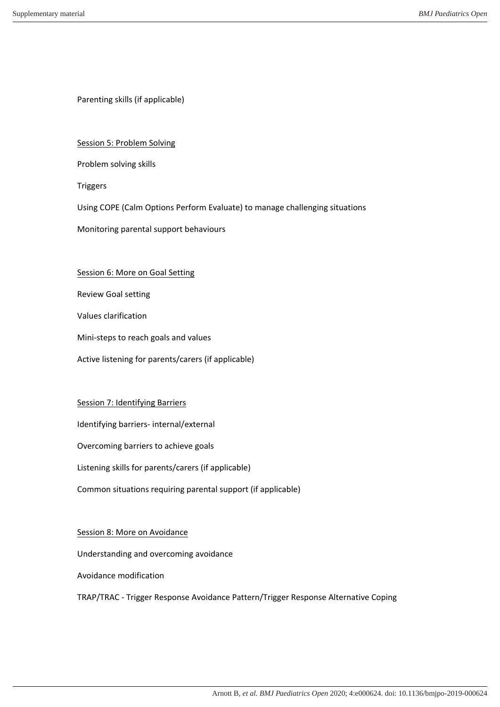Parenting skills (if applicable)

### Session 5: Problem Solving

Problem solving skills

Triggers

Using COPE (Calm Options Perform Evaluate) to manage challenging situations

Monitoring parental support behaviours

#### Session 6: More on Goal Setting

Review Goal setting 

Values clarification 

Mini-steps to reach goals and values

Active listening for parents/carers (if applicable)

### Session 7: Identifying Barriers

Identifying barriers- internal/external

Overcoming barriers to achieve goals

Listening skills for parents/carers (if applicable)

Common situations requiring parental support (if applicable)

#### Session 8: More on Avoidance

Understanding and overcoming avoidance

Avoidance modification 

TRAP/TRAC - Trigger Response Avoidance Pattern/Trigger Response Alternative Coping